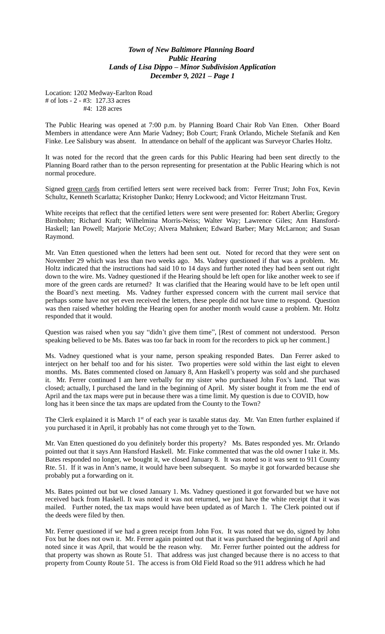Location: 1202 Medway-Earlton Road # of lots - 2 - #3: 127.33 acres #4: 128 acres

The Public Hearing was opened at 7:00 p.m. by Planning Board Chair Rob Van Etten. Other Board Members in attendance were Ann Marie Vadney; Bob Court; Frank Orlando, Michele Stefanik and Ken Finke. Lee Salisbury was absent. In attendance on behalf of the applicant was Surveyor Charles Holtz.

It was noted for the record that the green cards for this Public Hearing had been sent directly to the Planning Board rather than to the person representing for presentation at the Public Hearing which is not normal procedure.

Signed green cards from certified letters sent were received back from: Ferrer Trust; John Fox, Kevin Schultz, Kenneth Scarlatta; Kristopher Danko; Henry Lockwood; and Victor Heitzmann Trust.

White receipts that reflect that the certified letters were sent were presented for: Robert Aberlin; Gregory Birnbohm; Richard Kraft; Wilhelmina Morris-Neiss; Walter Way; Lawrence Giles; Ann Hansford-Haskell; Ian Powell; Marjorie McCoy; Alvera Mahnken; Edward Barber; Mary McLarnon; and Susan Raymond.

Mr. Van Etten questioned when the letters had been sent out. Noted for record that they were sent on November 29 which was less than two weeks ago. Ms. Vadney questioned if that was a problem. Mr. Holtz indicated that the instructions had said 10 to 14 days and further noted they had been sent out right down to the wire. Ms. Vadney questioned if the Hearing should be left open for like another week to see if more of the green cards are returned? It was clarified that the Hearing would have to be left open until the Board's next meeting. Ms. Vadney further expressed concern with the current mail service that perhaps some have not yet even received the letters, these people did not have time to respond. Question was then raised whether holding the Hearing open for another month would cause a problem. Mr. Holtz responded that it would.

Question was raised when you say "didn't give them time", [Rest of comment not understood. Person speaking believed to be Ms. Bates was too far back in room for the recorders to pick up her comment.]

Ms. Vadney questioned what is your name, person speaking responded Bates. Dan Ferrer asked to interject on her behalf too and for his sister. Two properties were sold within the last eight to eleven months. Ms. Bates commented closed on January 8, Ann Haskell's property was sold and she purchased it. Mr. Ferrer continued I am here verbally for my sister who purchased John Fox's land. That was closed; actually, I purchased the land in the beginning of April. My sister bought it from me the end of April and the tax maps were put in because there was a time limit. My question is due to COVID, how long has it been since the tax maps are updated from the County to the Town?

The Clerk explained it is March 1st of each year is taxable status day. Mr. Van Etten further explained if you purchased it in April, it probably has not come through yet to the Town.

Mr. Van Etten questioned do you definitely border this property? Ms. Bates responded yes. Mr. Orlando pointed out that it says Ann Hansford Haskell. Mr. Finke commented that was the old owner I take it. Ms. Bates responded no longer, we bought it, we closed January 8. It was noted so it was sent to 911 County Rte. 51. If it was in Ann's name, it would have been subsequent. So maybe it got forwarded because she probably put a forwarding on it.

Ms. Bates pointed out but we closed January 1. Ms. Vadney questioned it got forwarded but we have not received back from Haskell. It was noted it was not returned, we just have the white receipt that it was mailed. Further noted, the tax maps would have been updated as of March 1. The Clerk pointed out if the deeds were filed by then.

Mr. Ferrer questioned if we had a green receipt from John Fox. It was noted that we do, signed by John Fox but he does not own it. Mr. Ferrer again pointed out that it was purchased the beginning of April and noted since it was April, that would be the reason why. Mr. Ferrer further pointed out the address for that property was shown as Route 51. That address was just changed because there is no access to that property from County Route 51. The access is from Old Field Road so the 911 address which he had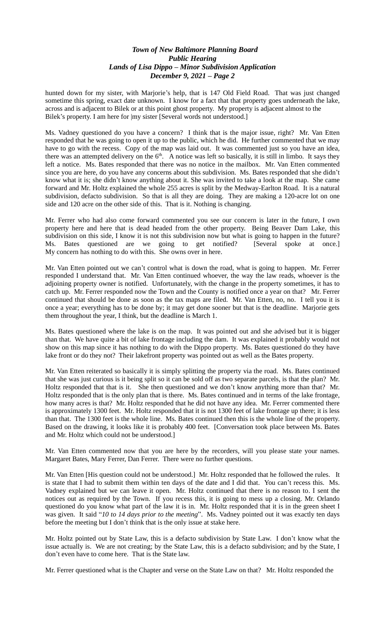hunted down for my sister, with Marjorie's help, that is 147 Old Field Road. That was just changed sometime this spring, exact date unknown. I know for a fact that that property goes underneath the lake, across and is adjacent to Bilek or at this point ghost property. My property is adjacent almost to the Bilek's property. I am here for  $|my$  sister [Several words not understood.]

Ms. Vadney questioned do you have a concern? I think that is the major issue, right? Mr. Van Etten responded that he was going to open it up to the public, which he did. He further commented that we may have to go with the recess. Copy of the map was laid out. It was commented just so you have an idea, there was an attempted delivery on the  $6<sup>th</sup>$ . A notice was left so basically, it is still in limbo. It says they left a notice. Ms. Bates responded that there was no notice in the mailbox. Mr. Van Etten commented since you are here, do you have any concerns about this subdivision. Ms. Bates responded that she didn't know what it is; she didn't know anything about it. She was invited to take a look at the map. She came forward and Mr. Holtz explained the whole 255 acres is split by the Medway-Earlton Road. It is a natural subdivision, defacto subdivision. So that is all they are doing. They are making a 120-acre lot on one side and 120 acre on the other side of this. That is it. Nothing is changing.

Mr. Ferrer who had also come forward commented you see our concern is later in the future, I own property here and here that is dead headed from the other property. Being Beaver Dam Lake, this subdivision on this side, I know it is not this subdivision now but what is going to happen in the future? Ms. Bates questioned are we going to get notified? [Several spoke at once.] My concern has nothing to do with this. She owns over in here.

Mr. Van Etten pointed out we can't control what is down the road, what is going to happen. Mr. Ferrer responded I understand that. Mr. Van Etten continued whoever, the way the law reads, whoever is the adjoining property owner is notified. Unfortunately, with the change in the property sometimes, it has to catch up. Mr. Ferrer responded now the Town and the County is notified once a year on that? Mr. Ferrer continued that should be done as soon as the tax maps are filed. Mr. Van Etten, no, no. I tell you it is once a year; everything has to be done by; it may get done sooner but that is the deadline. Marjorie gets them throughout the year, I think, but the deadline is March 1.

Ms. Bates questioned where the lake is on the map. It was pointed out and she advised but it is bigger than that. We have quite a bit of lake frontage including the dam. It was explained it probably would not show on this map since it has nothing to do with the Dippo property. Ms. Bates questioned do they have lake front or do they not? Their lakefront property was pointed out as well as the Bates property.

Mr. Van Etten reiterated so basically it is simply splitting the property via the road. Ms. Bates continued that she was just curious is it being split so it can be sold off as two separate parcels, is that the plan? Mr. Holtz responded that that is it. She then questioned and we don't know anything more than that? Mr. Holtz responded that is the only plan that is there. Ms. Bates continued and in terms of the lake frontage, how many acres is that? Mr. Holtz responded that he did not have any idea. Mr. Ferrer commented there is approximately 1300 feet. Mr. Holtz responded that it is not 1300 feet of lake frontage up there; it is less than that. The 1300 feet is the whole line. Ms. Bates continued then this is the whole line of the property. Based on the drawing, it looks like it is probably 400 feet. [Conversation took place between Ms. Bates and Mr. Holtz which could not be understood.]

Mr. Van Etten commented now that you are here by the recorders, will you please state your names. Margaret Bates, Mary Ferrer, Dan Ferrer. There were no further questions.

Mr. Van Etten [His question could not be understood.] Mr. Holtz responded that he followed the rules. It is state that I had to submit them within ten days of the date and I did that. You can't recess this. Ms. Vadney explained but we can leave it open. Mr. Holtz continued that there is no reason to. I sent the notices out as required by the Town. If you recess this, it is going to mess up a closing. Mr. Orlando questioned do you know what part of the law it is in. Mr. Holtz responded that it is in the green sheet I was given. It said "*10 to 14 days prior to the meeting*". Ms. Vadney pointed out it was exactly ten days before the meeting but I don't think that is the only issue at stake here.

Mr. Holtz pointed out by State Law, this is a defacto subdivision by State Law. I don't know what the issue actually is. We are not creating; by the State Law, this is a defacto subdivision; and by the State, I don't even have to come here. That is the State law.

Mr. Ferrer questioned what is the Chapter and verse on the State Law on that? Mr. Holtz responded the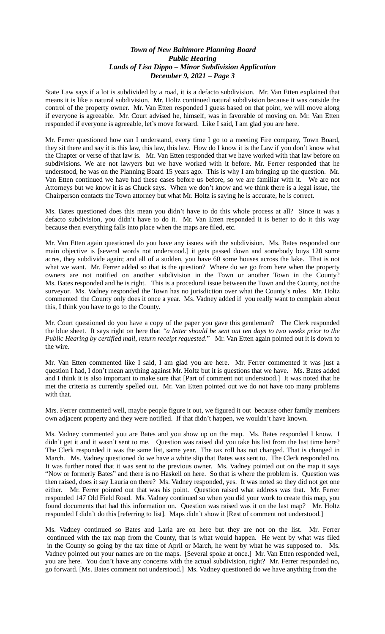State Law says if a lot is subdivided by a road, it is a defacto subdivision. Mr. Van Etten explained that means it is like a natural subdivision. Mr. Holtz continued natural subdivision because it was outside the control of the property owner. Mr. Van Etten responded I guess based on that point, we will move along if everyone is agreeable. Mr. Court advised he, himself, was in favorable of moving on. Mr. Van Etten responded if everyone is agreeable, let's move forward. Like I said, I am glad you are here.

Mr. Ferrer questioned how can I understand, every time I go to a meeting Fire company, Town Board, they sit there and say it is this law, this law, this law. How do I know it is the Law if you don't know what the Chapter or verse of that law is. Mr. Van Etten responded that we have worked with that law before on subdivisions. We are not lawyers but we have worked with it before. Mr. Ferrer responded that he understood, he was on the Planning Board 15 years ago. This is why I am bringing up the question. Mr. Van Etten continued we have had these cases before us before, so we are familiar with it. We are not Attorneys but we know it is as Chuck says. When we don't know and we think there is a legal issue, the Chairperson contacts the Town attorney but what Mr. Holtz is saying he is accurate, he is correct.

Ms. Bates questioned does this mean you didn't have to do this whole process at all? Since it was a defacto subdivision, you didn't have to do it. Mr. Van Etten responded it is better to do it this way because then everything falls into place when the maps are filed, etc.

Mr. Van Etten again questioned do you have any issues with the subdivision. Ms. Bates responded our main objective is [several words not understood.] it gets passed down and somebody buys 120 some acres, they subdivide again; and all of a sudden, you have 60 some houses across the lake. That is not what we want. Mr. Ferrer added so that is the question? Where do we go from here when the property owners are not notified on another subdivision in the Town or another Town in the County? Ms. Bates responded and he is right. This is a procedural issue between the Town and the County, not the surveyor. Ms. Vadney responded the Town has no jurisdiction over what the County's rules. Mr. Holtz commented the County only does it once a year. Ms. Vadney added if you really want to complain about this, I think you have to go to the County.

Mr. Court questioned do you have a copy of the paper you gave this gentleman? The Clerk responded the blue sheet. It says right on here that *"a letter should be sent out ten days to two weeks prior to the Public Hearing by certified mail, return receipt requested*." Mr. Van Etten again pointed out it is down to the wire.

Mr. Van Etten commented like I said, I am glad you are here. Mr. Ferrer commented it was just a question I had, I don't mean anything against Mr. Holtz but it is questions that we have. Ms. Bates added and I think it is also important to make sure that [Part of comment not understood.] It was noted that he met the criteria as currently spelled out. Mr. Van Etten pointed out we do not have too many problems with that.

Mrs. Ferrer commented well, maybe people figure it out, we figured it out because other family members own adjacent property and they were notified. If that didn't happen, we wouldn't have known.

Ms. Vadney commented you are Bates and you show up on the map. Ms. Bates responded I know. I didn't get it and it wasn't sent to me. Question was raised did you take his list from the last time here? The Clerk responded it was the same list, same year. The tax roll has not changed. That is changed in March. Ms. Vadney questioned do we have a white slip that Bates was sent to. The Clerk responded no. It was further noted that it was sent to the previous owner. Ms. Vadney pointed out on the map it says "Now or formerly Bates" and there is no Haskell on here. So that is where the problem is. Question was then raised, does it say Lauria on there? Ms. Vadney responded, yes. It was noted so they did not get one either. Mr. Ferrer pointed out that was his point. Question raised what address was that. Mr. Ferrer responded 147 Old Field Road. Ms. Vadney continued so when you did your work to create this map, you found documents that had this information on. Question was raised was it on the last map? Mr. Holtz responded I didn't do this [referring to list]. Maps didn't show it [Rest of comment not understood.]

Ms. Vadney continued so Bates and Laria are on here but they are not on the list. Mr. Ferrer continued with the tax map from the County, that is what would happen. He went by what was filed in the County so going by the tax time of April or March, he went by what he was supposed to. Ms. Vadney pointed out your names are on the maps. [Several spoke at once.] Mr. Van Etten responded well, you are here. You don't have any concerns with the actual subdivision, right? Mr. Ferrer responded no, go forward. [Ms. Bates comment not understood.] Ms. Vadney questioned do we have anything from the